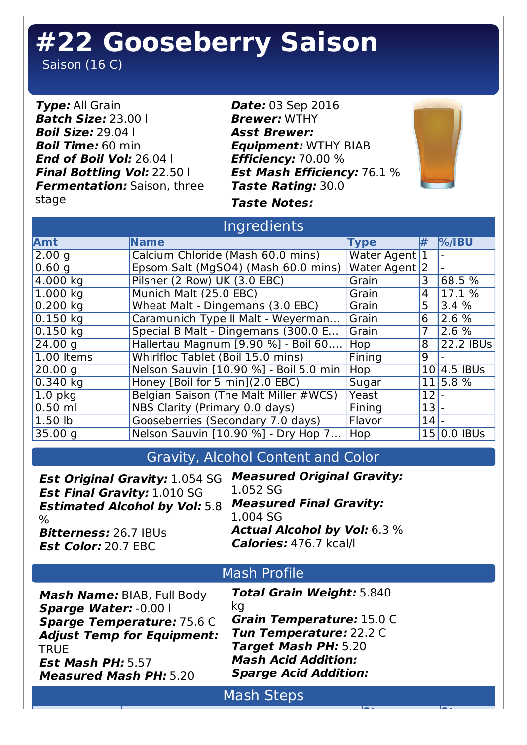# **#22 Gooseberry Saison**

Saison (16 C)

**Type:** All Grain **Batch Size:** 23.00 l **Boil Size:** 29.04 l **Boil Time:** 60 min **End of Boil Vol:** 26.04 l **Final Bottling Vol:** 22.50 l **Fermentation:** Saison, three stage

**Date:** 03 Sep 2016 **Brewer:** WTHY **Asst Brewer: Equipment:** WTHY BIAB **Efficiency:** 70.00 % **Est Mash Efficiency:** 76.1 % **Taste Rating:** 30.0 **Taste Notes:**



**Step Step**

### Ingredients

| Amt          | <b>Name</b>                            | <b>Type</b>              | l#     | $\%$ /IBU                |
|--------------|----------------------------------------|--------------------------|--------|--------------------------|
| 2.00 g       | Calcium Chloride (Mash 60.0 mins)      | Water Agent <sup>1</sup> |        |                          |
| 0.60 g       | Epsom Salt (MgSO4) (Mash 60.0 mins)    | Water Agent 2            |        |                          |
| 4.000 kg     | Pilsner (2 Row) UK (3.0 EBC)           | Grain                    | 3      | $68.5\%$                 |
| 1.000 kg     | Munich Malt (25.0 EBC)                 | Grain                    | 4      | 17.1 %                   |
| $0.200$ kg   | Wheat Malt - Dingemans (3.0 EBC)       | Grain                    | 5      | 3.4%                     |
| $0.150$ kg   | Caramunich Type II Malt - Weyerman     | Grain                    | 6      | 2.6%                     |
| $0.150$ kg   | Special B Malt - Dingemans (300.0 E    | Grain                    | 7      | 2.6 %                    |
| 24.00 g      | Hallertau Magnum [9.90 %] - Boil 60    | <b>Hop</b>               | 8      | 22.2 IBUs                |
| $1.00$ Items | Whirlfloc Tablet (Boil 15.0 mins)      | Fining                   | 9      |                          |
| 20.00 g      | Nelson Sauvin [10.90 %] - Boil 5.0 min | Hop i                    |        | $\overline{10}$ 4.5 IBUs |
| $0.340$ kg   | Honey [Boil for 5 min](2.0 EBC)        | Sugar                    |        | 11 5.8 %                 |
| $1.0$ pkg    | Belgian Saison (The Malt Miller #WCS)  | Yeast                    | $12$ . |                          |
| $0.50$ ml    | NBS Clarity (Primary 0.0 days)         | Fining                   | $13 -$ |                          |
| 1.50         | Gooseberries (Secondary 7.0 days)      | Flavor                   | 14     |                          |
| 35.00 g      | Nelson Sauvin [10.90 %] - Dry Hop 7    | <b>Hop</b>               |        | $15 0.0$ IBUs            |

## Gravity, Alcohol Content and Color

| <b>Est Original Gravity: 1.054 SG</b> | <b>Measured Original Gravity:</b>   |  |  |  |
|---------------------------------------|-------------------------------------|--|--|--|
| <b>Est Final Gravity: 1.010 SG</b>    | 1.052 SG                            |  |  |  |
| <b>Estimated Alcohol by Vol: 5.8</b>  | <b>Measured Final Gravity:</b>      |  |  |  |
| $\%$                                  | 1.004 SG                            |  |  |  |
| <b>Bitterness: 26.7 IBUs</b>          | <b>Actual Alcohol by Vol:</b> 6.3 % |  |  |  |
| <b>Est Color: 20.7 EBC</b>            | <b>Calories: 476.7 kcal/l</b>       |  |  |  |
| <b>Mash Profile</b>                   |                                     |  |  |  |
| Mash Name: BIAB, Full Body            | <b>Total Grain Weight: 5.840</b>    |  |  |  |
| <b>Sparge Water: -0.00  </b>          | kg                                  |  |  |  |
| <b>Sparge Temperature: 75.6 C</b>     | Grain Temperature: 15.0 C           |  |  |  |
| <b>Adjust Temp for Equipment:</b>     | Tun Temperature: 22.2 C             |  |  |  |
| <b>TRUE</b>                           | <b>Target Mash PH: 5.20</b>         |  |  |  |
| <b>Est Mash PH: 5.57</b>              | <b>Mash Acid Addition:</b>          |  |  |  |
| <b>Measured Mash PH: 5.20</b>         | <b>Sparge Acid Addition:</b>        |  |  |  |
| <b>Mash Steps</b>                     |                                     |  |  |  |